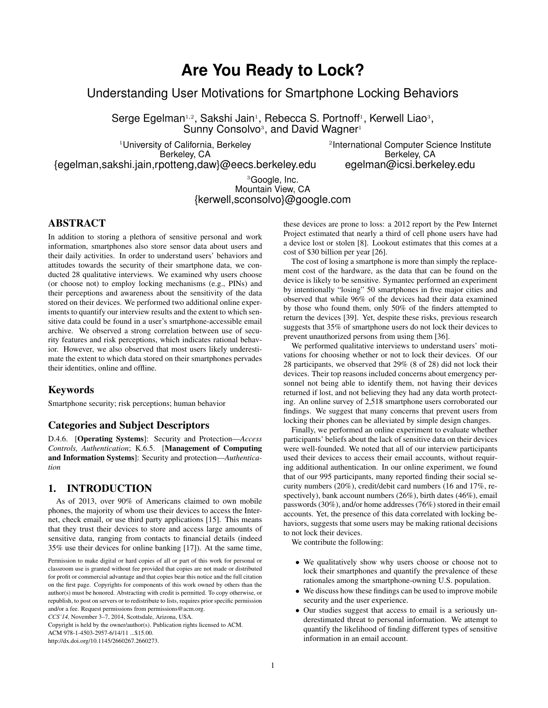# **Are You Ready to Lock?**

# Understanding User Motivations for Smartphone Locking Behaviors

Serge Egelman<sup>1,2</sup>, Sakshi Jain<sup>1</sup>, Rebecca S. Portnoff<sup>1</sup>, Kerwell Liao<sup>3</sup>, Sunny Consolvo<sup>3</sup>, and David Wagner<sup>1</sup>

<sup>1</sup>University of California, Berkeley Berkeley, CA {egelman,sakshi.jain,rpotteng,daw}@eecs.berkeley.edu 2 International Computer Science Institute Berkeley, CA egelman@icsi.berkeley.edu

<sup>3</sup>Google, Inc. Mountain View, CA {kerwell,sconsolvo}@google.com

# ABSTRACT

In addition to storing a plethora of sensitive personal and work information, smartphones also store sensor data about users and their daily activities. In order to understand users' behaviors and attitudes towards the security of their smartphone data, we conducted 28 qualitative interviews. We examined why users choose (or choose not) to employ locking mechanisms (e.g., PINs) and their perceptions and awareness about the sensitivity of the data stored on their devices. We performed two additional online experiments to quantify our interview results and the extent to which sensitive data could be found in a user's smartphone-accessible email archive. We observed a strong correlation between use of security features and risk perceptions, which indicates rational behavior. However, we also observed that most users likely underestimate the extent to which data stored on their smartphones pervades their identities, online and offline.

# **Keywords**

Smartphone security; risk perceptions; human behavior

# Categories and Subject Descriptors

D.4.6. [Operating Systems]: Security and Protection—*Access Controls, Authentication*; K.6.5. [Management of Computing and Information Systems]: Security and protection—*Authentication*

# 1. INTRODUCTION

As of 2013, over 90% of Americans claimed to own mobile phones, the majority of whom use their devices to access the Internet, check email, or use third party applications [\[15\]](#page-10-0). This means that they trust their devices to store and access large amounts of sensitive data, ranging from contacts to financial details (indeed 35% use their devices for online banking [\[17\]](#page-10-1)). At the same time,

Copyright is held by the owner/author(s). Publication rights licensed to ACM.

http://dx.doi.org/10.1145/2660267.2660273.

these devices are prone to loss: a 2012 report by the Pew Internet Project estimated that nearly a third of cell phone users have had a device lost or stolen [\[8\]](#page-10-2). Lookout estimates that this comes at a cost of \$30 billion per year [\[26\]](#page-10-3).

The cost of losing a smartphone is more than simply the replacement cost of the hardware, as the data that can be found on the device is likely to be sensitive. Symantec performed an experiment by intentionally "losing" 50 smartphones in five major cities and observed that while 96% of the devices had their data examined by those who found them, only 50% of the finders attempted to return the devices [\[39\]](#page-11-0). Yet, despite these risks, previous research suggests that 35% of smartphone users do not lock their devices to prevent unauthorized persons from using them [\[36\]](#page-11-1).

We performed qualitative interviews to understand users' motivations for choosing whether or not to lock their devices. Of our 28 participants, we observed that 29% (8 of 28) did not lock their devices. Their top reasons included concerns about emergency personnel not being able to identify them, not having their devices returned if lost, and not believing they had any data worth protecting. An online survey of 2,518 smartphone users corroborated our findings. We suggest that many concerns that prevent users from locking their phones can be alleviated by simple design changes.

Finally, we performed an online experiment to evaluate whether participants' beliefs about the lack of sensitive data on their devices were well-founded. We noted that all of our interview participants used their devices to access their email accounts, without requiring additional authentication. In our online experiment, we found that of our 995 participants, many reported finding their social security numbers (20%), credit/debit card numbers (16 and 17%, respectively), bank account numbers (26%), birth dates (46%), email passwords (30%), and/or home addresses (76%) stored in their email accounts. Yet, the presence of this data correlated with locking behaviors, suggests that some users may be making rational decisions to not lock their devices.

We contribute the following:

- We qualitatively show why users choose or choose not to lock their smartphones and quantify the prevalence of these rationales among the smartphone-owning U.S. population.
- We discuss how these findings can be used to improve mobile security and the user experience.
- Our studies suggest that access to email is a seriously underestimated threat to personal information. We attempt to quantify the likelihood of finding different types of sensitive information in an email account.

Permission to make digital or hard copies of all or part of this work for personal or classroom use is granted without fee provided that copies are not made or distributed for profit or commercial advantage and that copies bear this notice and the full citation on the first page. Copyrights for components of this work owned by others than the author(s) must be honored. Abstracting with credit is permitted. To copy otherwise, or republish, to post on servers or to redistribute to lists, requires prior specific permission and/or a fee. Request permissions from permissions@acm.org.

*CCS'14,* November 3–7, 2014, Scottsdale, Arizona, USA.

ACM 978-1-4503-2957-6/14/11 ...\$15.00.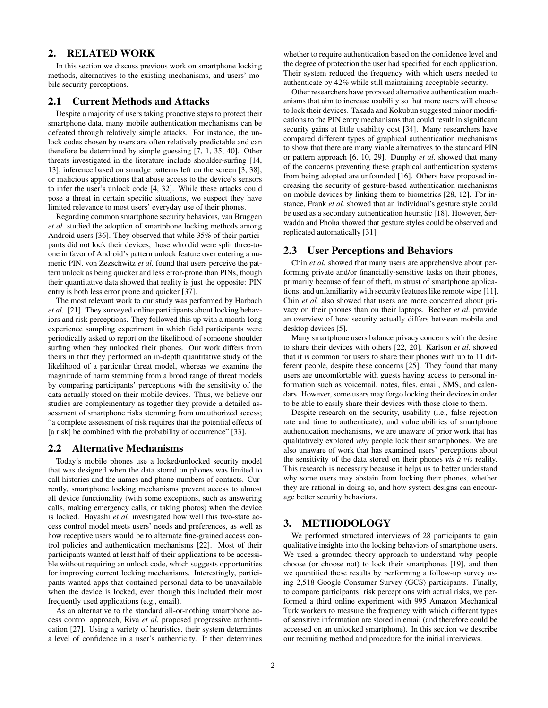# <span id="page-1-0"></span>2. RELATED WORK

In this section we discuss previous work on smartphone locking methods, alternatives to the existing mechanisms, and users' mobile security perceptions.

# 2.1 Current Methods and Attacks

Despite a majority of users taking proactive steps to protect their smartphone data, many mobile authentication mechanisms can be defeated through relatively simple attacks. For instance, the unlock codes chosen by users are often relatively predictable and can therefore be determined by simple guessing [\[7,](#page-10-4) [1,](#page-9-0) [35,](#page-11-2) [40\]](#page-11-3). Other threats investigated in the literature include shoulder-surfing [\[14,](#page-10-5) [13\]](#page-10-6), inference based on smudge patterns left on the screen [\[3,](#page-10-7) [38\]](#page-11-4), or malicious applications that abuse access to the device's sensors to infer the user's unlock code [\[4,](#page-10-8) [32\]](#page-11-5). While these attacks could pose a threat in certain specific situations, we suspect they have limited relevance to most users' everyday use of their phones.

Regarding common smartphone security behaviors, van Bruggen *et al.* studied the adoption of smartphone locking methods among Android users [\[36\]](#page-11-1). They observed that while 35% of their participants did not lock their devices, those who did were split three-toone in favor of Android's pattern unlock feature over entering a numeric PIN. von Zezschwitz *et al.* found that users perceive the pattern unlock as being quicker and less error-prone than PINs, though their quantitative data showed that reality is just the opposite: PIN entry is both less error prone and quicker [\[37\]](#page-11-6).

The most relevant work to our study was performed by Harbach *et al.* [\[21\]](#page-10-9). They surveyed online participants about locking behaviors and risk perceptions. They followed this up with a month-long experience sampling experiment in which field participants were periodically asked to report on the likelihood of someone shoulder surfing when they unlocked their phones. Our work differs from theirs in that they performed an in-depth quantitative study of the likelihood of a particular threat model, whereas we examine the magnitude of harm stemming from a broad range of threat models by comparing participants' perceptions with the sensitivity of the data actually stored on their mobile devices. Thus, we believe our studies are complementary as together they provide a detailed assessment of smartphone risks stemming from unauthorized access; "a complete assessment of risk requires that the potential effects of [a risk] be combined with the probability of occurrence" [\[33\]](#page-11-7).

## 2.2 Alternative Mechanisms

Today's mobile phones use a locked/unlocked security model that was designed when the data stored on phones was limited to call histories and the names and phone numbers of contacts. Currently, smartphone locking mechanisms prevent access to almost all device functionality (with some exceptions, such as answering calls, making emergency calls, or taking photos) when the device is locked. Hayashi *et al.* investigated how well this two-state access control model meets users' needs and preferences, as well as how receptive users would be to alternate fine-grained access control policies and authentication mechanisms [\[22\]](#page-10-10). Most of their participants wanted at least half of their applications to be accessible without requiring an unlock code, which suggests opportunities for improving current locking mechanisms. Interestingly, participants wanted apps that contained personal data to be unavailable when the device is locked, even though this included their most frequently used applications (e.g., email).

As an alternative to the standard all-or-nothing smartphone access control approach, Riva *et al.* proposed progressive authentication [\[27\]](#page-10-11). Using a variety of heuristics, their system determines a level of confidence in a user's authenticity. It then determines whether to require authentication based on the confidence level and the degree of protection the user had specified for each application. Their system reduced the frequency with which users needed to authenticate by 42% while still maintaining acceptable security.

Other researchers have proposed alternative authentication mechanisms that aim to increase usability so that more users will choose to lock their devices. Takada and Kokubun suggested minor modifications to the PIN entry mechanisms that could result in significant security gains at little usability cost [\[34\]](#page-11-8). Many researchers have compared different types of graphical authentication mechanisms to show that there are many viable alternatives to the standard PIN or pattern approach [\[6,](#page-10-12) [10,](#page-10-13) [29\]](#page-10-14). Dunphy *et al.* showed that many of the concerns preventing these graphical authentication systems from being adopted are unfounded [\[16\]](#page-10-15). Others have proposed increasing the security of gesture-based authentication mechanisms on mobile devices by linking them to biometrics [\[28,](#page-10-16) [12\]](#page-10-17). For instance, Frank *et al.* showed that an individual's gesture style could be used as a secondary authentication heuristic [\[18\]](#page-10-18). However, Serwadda and Phoha showed that gesture styles could be observed and replicated automatically [\[31\]](#page-11-9).

# 2.3 User Perceptions and Behaviors

Chin *et al.* showed that many users are apprehensive about performing private and/or financially-sensitive tasks on their phones, primarily because of fear of theft, mistrust of smartphone applications, and unfamiliarity with security features like remote wipe [\[11\]](#page-10-19). Chin *et al.* also showed that users are more concerned about privacy on their phones than on their laptops. Becher *et al.* provide an overview of how security actually differs between mobile and desktop devices [\[5\]](#page-10-20).

Many smartphone users balance privacy concerns with the desire to share their devices with others [\[22,](#page-10-10) [20\]](#page-10-21). Karlson *et al.* showed that it is common for users to share their phones with up to 11 different people, despite these concerns [\[25\]](#page-10-22). They found that many users are uncomfortable with guests having access to personal information such as voicemail, notes, files, email, SMS, and calendars. However, some users may forgo locking their devices in order to be able to easily share their devices with those close to them.

Despite research on the security, usability (i.e., false rejection rate and time to authenticate), and vulnerabilities of smartphone authentication mechanisms, we are unaware of prior work that has qualitatively explored *why* people lock their smartphones. We are also unaware of work that has examined users' perceptions about the sensitivity of the data stored on their phones *vis à vis* reality. This research is necessary because it helps us to better understand why some users may abstain from locking their phones, whether they are rational in doing so, and how system designs can encourage better security behaviors.

# 3. METHODOLOGY

We performed structured interviews of 28 participants to gain qualitative insights into the locking behaviors of smartphone users. We used a grounded theory approach to understand why people choose (or choose not) to lock their smartphones [\[19\]](#page-10-23), and then we quantified these results by performing a follow-up survey using 2,518 Google Consumer Survey (GCS) participants. Finally, to compare participants' risk perceptions with actual risks, we performed a third online experiment with 995 Amazon Mechanical Turk workers to measure the frequency with which different types of sensitive information are stored in email (and therefore could be accessed on an unlocked smartphone). In this section we describe our recruiting method and procedure for the initial interviews.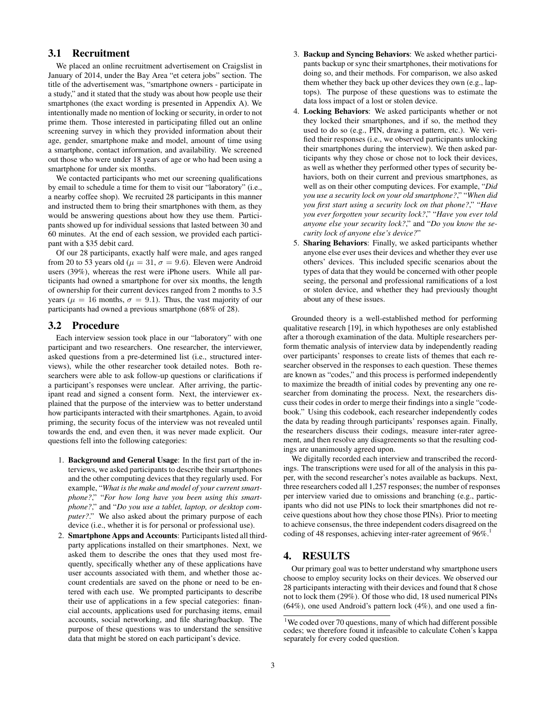# 3.1 Recruitment

We placed an online recruitment advertisement on Craigslist in January of 2014, under the Bay Area "et cetera jobs" section. The title of the advertisement was, "smartphone owners - participate in a study," and it stated that the study was about how people use their smartphones (the exact wording is presented in Appendix [A\)](#page-11-10). We intentionally made no mention of locking or security, in order to not prime them. Those interested in participating filled out an online screening survey in which they provided information about their age, gender, smartphone make and model, amount of time using a smartphone, contact information, and availability. We screened out those who were under 18 years of age or who had been using a smartphone for under six months.

We contacted participants who met our screening qualifications by email to schedule a time for them to visit our "laboratory" (i.e., a nearby coffee shop). We recruited 28 participants in this manner and instructed them to bring their smartphones with them, as they would be answering questions about how they use them. Participants showed up for individual sessions that lasted between 30 and 60 minutes. At the end of each session, we provided each participant with a \$35 debit card.

Of our 28 participants, exactly half were male, and ages ranged from 20 to 53 years old ( $\mu = 31$ ,  $\sigma = 9.6$ ). Eleven were Android users (39%), whereas the rest were iPhone users. While all participants had owned a smartphone for over six months, the length of ownership for their current devices ranged from 2 months to 3.5 years ( $\mu = 16$  months,  $\sigma = 9.1$ ). Thus, the vast majority of our participants had owned a previous smartphone (68% of 28).

## 3.2 Procedure

Each interview session took place in our "laboratory" with one participant and two researchers. One researcher, the interviewer, asked questions from a pre-determined list (i.e., structured interviews), while the other researcher took detailed notes. Both researchers were able to ask follow-up questions or clarifications if a participant's responses were unclear. After arriving, the participant read and signed a consent form. Next, the interviewer explained that the purpose of the interview was to better understand how participants interacted with their smartphones. Again, to avoid priming, the security focus of the interview was not revealed until towards the end, and even then, it was never made explicit. Our questions fell into the following categories:

- 1. Background and General Usage: In the first part of the interviews, we asked participants to describe their smartphones and the other computing devices that they regularly used. For example, "*What is the make and model of your current smartphone?*," "*For how long have you been using this smartphone?*," and "*Do you use a tablet, laptop, or desktop computer?*." We also asked about the primary purpose of each device (i.e., whether it is for personal or professional use).
- 2. Smartphone Apps and Accounts: Participants listed all thirdparty applications installed on their smartphones. Next, we asked them to describe the ones that they used most frequently, specifically whether any of these applications have user accounts associated with them, and whether those account credentials are saved on the phone or need to be entered with each use. We prompted participants to describe their use of applications in a few special categories: financial accounts, applications used for purchasing items, email accounts, social networking, and file sharing/backup. The purpose of these questions was to understand the sensitive data that might be stored on each participant's device.
- 3. Backup and Syncing Behaviors: We asked whether participants backup or sync their smartphones, their motivations for doing so, and their methods. For comparison, we also asked them whether they back up other devices they own (e.g., laptops). The purpose of these questions was to estimate the data loss impact of a lost or stolen device.
- 4. Locking Behaviors: We asked participants whether or not they locked their smartphones, and if so, the method they used to do so (e.g., PIN, drawing a pattern, etc.). We verified their responses (i.e., we observed participants unlocking their smartphones during the interview). We then asked participants why they chose or chose not to lock their devices, as well as whether they performed other types of security behaviors, both on their current and previous smartphones, as well as on their other computing devices. For example, "*Did you use a security lock on your old smartphone?*," "*When did you first start using a security lock on that phone?*," "*Have you ever forgotten your security lock?*," "*Have you ever told anyone else your security lock?*," and "*Do you know the security lock of anyone else's device?*"
- 5. Sharing Behaviors: Finally, we asked participants whether anyone else ever uses their devices and whether they ever use others' devices. This included specific scenarios about the types of data that they would be concerned with other people seeing, the personal and professional ramifications of a lost or stolen device, and whether they had previously thought about any of these issues.

Grounded theory is a well-established method for performing qualitative research [\[19\]](#page-10-23), in which hypotheses are only established after a thorough examination of the data. Multiple researchers perform thematic analysis of interview data by independently reading over participants' responses to create lists of themes that each researcher observed in the responses to each question. These themes are known as "codes," and this process is performed independently to maximize the breadth of initial codes by preventing any one researcher from dominating the process. Next, the researchers discuss their codes in order to merge their findings into a single "codebook." Using this codebook, each researcher independently codes the data by reading through participants' responses again. Finally, the researchers discuss their codings, measure inter-rater agreement, and then resolve any disagreements so that the resulting codings are unanimously agreed upon.

We digitally recorded each interview and transcribed the recordings. The transcriptions were used for all of the analysis in this paper, with the second researcher's notes available as backups. Next, three researchers coded all 1,257 responses; the number of responses per interview varied due to omissions and branching (e.g., participants who did not use PINs to lock their smartphones did not receive questions about how they chose those PINs). Prior to meeting to achieve consensus, the three independent coders disagreed on the coding of 48 responses, achieving inter-rater agreement of 96%.<sup>[1](#page-2-0)</sup>

## 4. RESULTS

Our primary goal was to better understand why smartphone users choose to employ security locks on their devices. We observed our 28 participants interacting with their devices and found that 8 chose not to lock them (29%). Of those who did, 18 used numerical PINs  $(64\%)$ , one used Android's pattern lock  $(4\%)$ , and one used a fin-

<span id="page-2-0"></span><sup>&</sup>lt;sup>1</sup>We coded over 70 questions, many of which had different possible codes; we therefore found it infeasible to calculate Cohen's kappa separately for every coded question.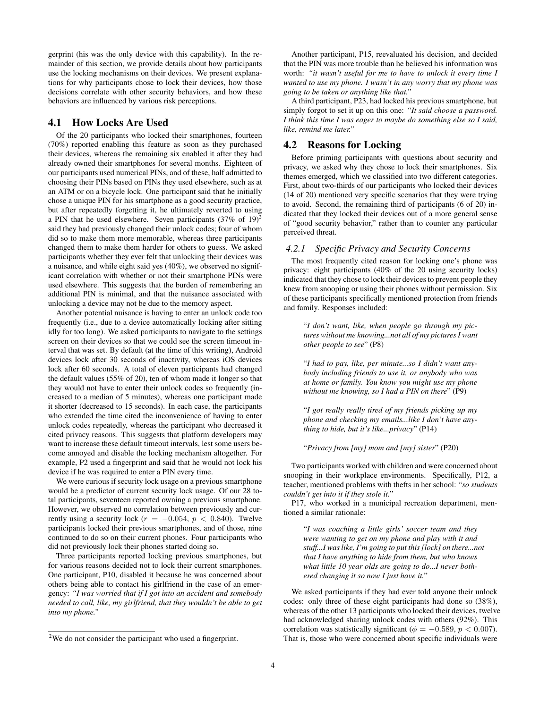gerprint (his was the only device with this capability). In the remainder of this section, we provide details about how participants use the locking mechanisms on their devices. We present explanations for why participants chose to lock their devices, how those decisions correlate with other security behaviors, and how these behaviors are influenced by various risk perceptions.

# 4.1 How Locks Are Used

Of the 20 participants who locked their smartphones, fourteen (70%) reported enabling this feature as soon as they purchased their devices, whereas the remaining six enabled it after they had already owned their smartphones for several months. Eighteen of our participants used numerical PINs, and of these, half admitted to choosing their PINs based on PINs they used elsewhere, such as at an ATM or on a bicycle lock. One participant said that he initially chose a unique PIN for his smartphone as a good security practice, but after repeatedly forgetting it, he ultimately reverted to using a PIN that he used elsewhere. Seven participants  $(37\% \text{ of } 19)^2$  $(37\% \text{ of } 19)^2$ said they had previously changed their unlock codes; four of whom did so to make them more memorable, whereas three participants changed them to make them harder for others to guess. We asked participants whether they ever felt that unlocking their devices was a nuisance, and while eight said yes (40%), we observed no significant correlation with whether or not their smartphone PINs were used elsewhere. This suggests that the burden of remembering an additional PIN is minimal, and that the nuisance associated with unlocking a device may not be due to the memory aspect.

Another potential nuisance is having to enter an unlock code too frequently (i.e., due to a device automatically locking after sitting idly for too long). We asked participants to navigate to the settings screen on their devices so that we could see the screen timeout interval that was set. By default (at the time of this writing), Android devices lock after 30 seconds of inactivity, whereas iOS devices lock after 60 seconds. A total of eleven participants had changed the default values (55% of 20), ten of whom made it longer so that they would not have to enter their unlock codes so frequently (increased to a median of 5 minutes), whereas one participant made it shorter (decreased to 15 seconds). In each case, the participants who extended the time cited the inconvenience of having to enter unlock codes repeatedly, whereas the participant who decreased it cited privacy reasons. This suggests that platform developers may want to increase these default timeout intervals, lest some users become annoyed and disable the locking mechanism altogether. For example, P2 used a fingerprint and said that he would not lock his device if he was required to enter a PIN every time.

We were curious if security lock usage on a previous smartphone would be a predictor of current security lock usage. Of our 28 total participants, seventeen reported owning a previous smartphone. However, we observed no correlation between previously and currently using a security lock ( $r = -0.054$ ,  $p < 0.840$ ). Twelve participants locked their previous smartphones, and of those, nine continued to do so on their current phones. Four participants who did not previously lock their phones started doing so.

Three participants reported locking previous smartphones, but for various reasons decided not to lock their current smartphones. One participant, P10, disabled it because he was concerned about others being able to contact his girlfriend in the case of an emergency: *"I was worried that if I got into an accident and somebody needed to call, like, my girlfriend, that they wouldn't be able to get into my phone."*

Another participant, P15, reevaluated his decision, and decided that the PIN was more trouble than he believed his information was worth: *"it wasn't useful for me to have to unlock it every time I wanted to use my phone. I wasn't in any worry that my phone was going to be taken or anything like that."*

A third participant, P23, had locked his previous smartphone, but simply forgot to set it up on this one: *"It said choose a password. I think this time I was eager to maybe do something else so I said, like, remind me later."*

#### 4.2 Reasons for Locking

Before priming participants with questions about security and privacy, we asked why they chose to lock their smartphones. Six themes emerged, which we classified into two different categories. First, about two-thirds of our participants who locked their devices (14 of 20) mentioned very specific scenarios that they were trying to avoid. Second, the remaining third of participants (6 of 20) indicated that they locked their devices out of a more general sense of "good security behavior," rather than to counter any particular perceived threat.

#### *4.2.1 Specific Privacy and Security Concerns*

The most frequently cited reason for locking one's phone was privacy: eight participants (40% of the 20 using security locks) indicated that they chose to lock their devices to prevent people they knew from snooping or using their phones without permission. Six of these participants specifically mentioned protection from friends and family. Responses included:

"*I don't want, like, when people go through my pictures without me knowing...not all of my pictures I want other people to see*" (P8)

"*I had to pay, like, per minute...so I didn't want anybody including friends to use it, or anybody who was at home or family. You know you might use my phone without me knowing, so I had a PIN on there*" (P9)

"*I got really really tired of my friends picking up my phone and checking my emails...like I don't have anything to hide, but it's like...privacy*" (P14)

"*Privacy from [my] mom and [my] sister*" (P20)

Two participants worked with children and were concerned about snooping in their workplace environments. Specifically, P12, a teacher, mentioned problems with thefts in her school: "*so students couldn't get into it if they stole it.*"

P17, who worked in a municipal recreation department, mentioned a similar rationale:

"*I was coaching a little girls' soccer team and they were wanting to get on my phone and play with it and stuff...I was like, I'm going to put this [lock] on there...not that I have anything to hide from them, but who knows what little 10 year olds are going to do...I never bothered changing it so now I just have it.*"

We asked participants if they had ever told anyone their unlock codes: only three of these eight participants had done so (38%), whereas of the other 13 participants who locked their devices, twelve had acknowledged sharing unlock codes with others (92%). This correlation was statistically significant ( $\phi = -0.589$ ,  $p < 0.007$ ). That is, those who were concerned about specific individuals were

<span id="page-3-0"></span><sup>&</sup>lt;sup>2</sup>We do not consider the participant who used a fingerprint.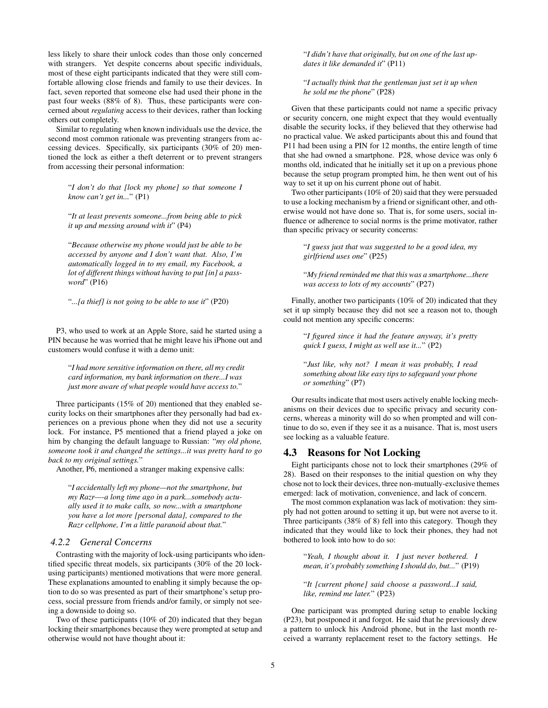less likely to share their unlock codes than those only concerned with strangers. Yet despite concerns about specific individuals, most of these eight participants indicated that they were still comfortable allowing close friends and family to use their devices. In fact, seven reported that someone else had used their phone in the past four weeks (88% of 8). Thus, these participants were concerned about *regulating* access to their devices, rather than locking others out completely.

Similar to regulating when known individuals use the device, the second most common rationale was preventing strangers from accessing devices. Specifically, six participants (30% of 20) mentioned the lock as either a theft deterrent or to prevent strangers from accessing their personal information:

"*I don't do that [lock my phone] so that someone I know can't get in...*" (P1)

"*It at least prevents someone...from being able to pick it up and messing around with it*" (P4)

"*Because otherwise my phone would just be able to be accessed by anyone and I don't want that. Also, I'm automatically logged in to my email, my Facebook, a lot of different things without having to put [in] a password*" (P16)

"*...[a thief] is not going to be able to use it*" (P20)

P3, who used to work at an Apple Store, said he started using a PIN because he was worried that he might leave his iPhone out and customers would confuse it with a demo unit:

"*I had more sensitive information on there, all my credit card information, my bank information on there...I was just more aware of what people would have access to.*"

Three participants (15% of 20) mentioned that they enabled security locks on their smartphones after they personally had bad experiences on a previous phone when they did not use a security lock. For instance, P5 mentioned that a friend played a joke on him by changing the default language to Russian: "*my old phone, someone took it and changed the settings...it was pretty hard to go back to my original settings.*"

Another, P6, mentioned a stranger making expensive calls:

"*I accidentally left my phone—not the smartphone, but my Razr—-a long time ago in a park...somebody actually used it to make calls, so now...with a smartphone you have a lot more [personal data], compared to the Razr cellphone, I'm a little paranoid about that.*"

#### *4.2.2 General Concerns*

Contrasting with the majority of lock-using participants who identified specific threat models, six participants (30% of the 20 lockusing participants) mentioned motivations that were more general. These explanations amounted to enabling it simply because the option to do so was presented as part of their smartphone's setup process, social pressure from friends and/or family, or simply not seeing a downside to doing so.

Two of these participants (10% of 20) indicated that they began locking their smartphones because they were prompted at setup and otherwise would not have thought about it:

"*I didn't have that originally, but on one of the last updates it like demanded it*" (P11)

"*I actually think that the gentleman just set it up when he sold me the phone*" (P28)

Given that these participants could not name a specific privacy or security concern, one might expect that they would eventually disable the security locks, if they believed that they otherwise had no practical value. We asked participants about this and found that P11 had been using a PIN for 12 months, the entire length of time that she had owned a smartphone. P28, whose device was only 6 months old, indicated that he initially set it up on a previous phone because the setup program prompted him, he then went out of his way to set it up on his current phone out of habit.

Two other participants (10% of 20) said that they were persuaded to use a locking mechanism by a friend or significant other, and otherwise would not have done so. That is, for some users, social influence or adherence to social norms is the prime motivator, rather than specific privacy or security concerns:

"*I guess just that was suggested to be a good idea, my girlfriend uses one*" (P25)

"*My friend reminded me that this was a smartphone...there was access to lots of my accounts*" (P27)

Finally, another two participants (10% of 20) indicated that they set it up simply because they did not see a reason not to, though could not mention any specific concerns:

"*I figured since it had the feature anyway, it's pretty quick I guess, I might as well use it...*" (P2)

"*Just like, why not? I mean it was probably, I read something about like easy tips to safeguard your phone or something*" (P7)

Our results indicate that most users actively enable locking mechanisms on their devices due to specific privacy and security concerns, whereas a minority will do so when prompted and will continue to do so, even if they see it as a nuisance. That is, most users see locking as a valuable feature.

## 4.3 Reasons for Not Locking

Eight participants chose not to lock their smartphones (29% of 28). Based on their responses to the initial question on why they chose not to lock their devices, three non-mutually-exclusive themes emerged: lack of motivation, convenience, and lack of concern.

The most common explanation was lack of motivation: they simply had not gotten around to setting it up, but were not averse to it. Three participants (38% of 8) fell into this category. Though they indicated that they would like to lock their phones, they had not bothered to look into how to do so:

"*Yeah, I thought about it. I just never bothered. I mean, it's probably something I should do, but...*" (P19)

"*It [current phone] said choose a password...I said, like, remind me later.*" (P23)

One participant was prompted during setup to enable locking (P23), but postponed it and forgot. He said that he previously drew a pattern to unlock his Android phone, but in the last month received a warranty replacement reset to the factory settings. He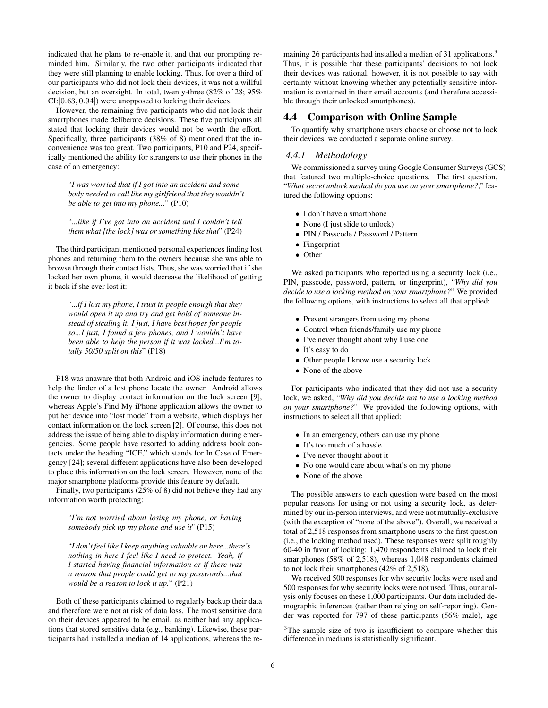indicated that he plans to re-enable it, and that our prompting reminded him. Similarly, the two other participants indicated that they were still planning to enable locking. Thus, for over a third of our participants who did not lock their devices, it was not a willful decision, but an oversight. In total, twenty-three (82% of 28; 95% CI:[0.63, 0.94]) were unopposed to locking their devices.

However, the remaining five participants who did not lock their smartphones made deliberate decisions. These five participants all stated that locking their devices would not be worth the effort. Specifically, three participants (38% of 8) mentioned that the inconvenience was too great. Two participants, P10 and P24, specifically mentioned the ability for strangers to use their phones in the case of an emergency:

"*I was worried that if I got into an accident and somebody needed to call like my girlfriend that they wouldn't be able to get into my phone...*" (P10)

"*...like if I've got into an accident and I couldn't tell them what [the lock] was or something like that*" (P24)

The third participant mentioned personal experiences finding lost phones and returning them to the owners because she was able to browse through their contact lists. Thus, she was worried that if she locked her own phone, it would decrease the likelihood of getting it back if she ever lost it:

"*...if I lost my phone, I trust in people enough that they would open it up and try and get hold of someone instead of stealing it. I just, I have best hopes for people so...I just, I found a few phones, and I wouldn't have been able to help the person if it was locked...I'm totally 50/50 split on this*" (P18)

P18 was unaware that both Android and iOS include features to help the finder of a lost phone locate the owner. Android allows the owner to display contact information on the lock screen [\[9\]](#page-10-24), whereas Apple's Find My iPhone application allows the owner to put her device into "lost mode" from a website, which displays her contact information on the lock screen [\[2\]](#page-9-1). Of course, this does not address the issue of being able to display information during emergencies. Some people have resorted to adding address book contacts under the heading "ICE," which stands for In Case of Emergency [\[24\]](#page-10-25); several different applications have also been developed to place this information on the lock screen. However, none of the major smartphone platforms provide this feature by default.

Finally, two participants (25% of 8) did not believe they had any information worth protecting:

"*I'm not worried about losing my phone, or having somebody pick up my phone and use it*" (P15)

"*I don't feel like I keep anything valuable on here...there's nothing in here I feel like I need to protect. Yeah, if I started having financial information or if there was a reason that people could get to my passwords...that would be a reason to lock it up.*" (P21)

Both of these participants claimed to regularly backup their data and therefore were not at risk of data loss. The most sensitive data on their devices appeared to be email, as neither had any applications that stored sensitive data (e.g., banking). Likewise, these participants had installed a median of 14 applications, whereas the remaining 26 participants had installed a median of [3](#page-5-0)1 applications.<sup>3</sup> Thus, it is possible that these participants' decisions to not lock their devices was rational, however, it is not possible to say with certainty without knowing whether any potentially sensitive information is contained in their email accounts (and therefore accessible through their unlocked smartphones).

# 4.4 Comparison with Online Sample

To quantify why smartphone users choose or choose not to lock their devices, we conducted a separate online survey.

### *4.4.1 Methodology*

We commissioned a survey using Google Consumer Surveys (GCS) that featured two multiple-choice questions. The first question, "*What secret unlock method do you use on your smartphone?*," featured the following options:

- I don't have a smartphone
- None (I just slide to unlock)
- PIN / Passcode / Password / Pattern
- Fingerprint
- Other

We asked participants who reported using a security lock (i.e., PIN, passcode, password, pattern, or fingerprint), "*Why did you decide to use a locking method on your smartphone?*" We provided the following options, with instructions to select all that applied:

- Prevent strangers from using my phone
- Control when friends/family use my phone
- I've never thought about why I use one
- It's easy to do
- Other people I know use a security lock
- None of the above

For participants who indicated that they did not use a security lock, we asked, "*Why did you decide not to use a locking method on your smartphone?*" We provided the following options, with instructions to select all that applied:

- In an emergency, others can use my phone
- It's too much of a hassle
- I've never thought about it
- No one would care about what's on my phone
- None of the above

The possible answers to each question were based on the most popular reasons for using or not using a security lock, as determined by our in-person interviews, and were not mutually-exclusive (with the exception of "none of the above"). Overall, we received a total of 2,518 responses from smartphone users to the first question (i.e., the locking method used). These responses were split roughly 60-40 in favor of locking: 1,470 respondents claimed to lock their smartphones (58% of 2,518), whereas 1,048 respondents claimed to not lock their smartphones (42% of 2,518).

We received 500 responses for why security locks were used and 500 responses for why security locks were not used. Thus, our analysis only focuses on these 1,000 participants. Our data included demographic inferences (rather than relying on self-reporting). Gender was reported for 797 of these participants (56% male), age

<span id="page-5-0"></span><sup>&</sup>lt;sup>3</sup>The sample size of two is insufficient to compare whether this difference in medians is statistically significant.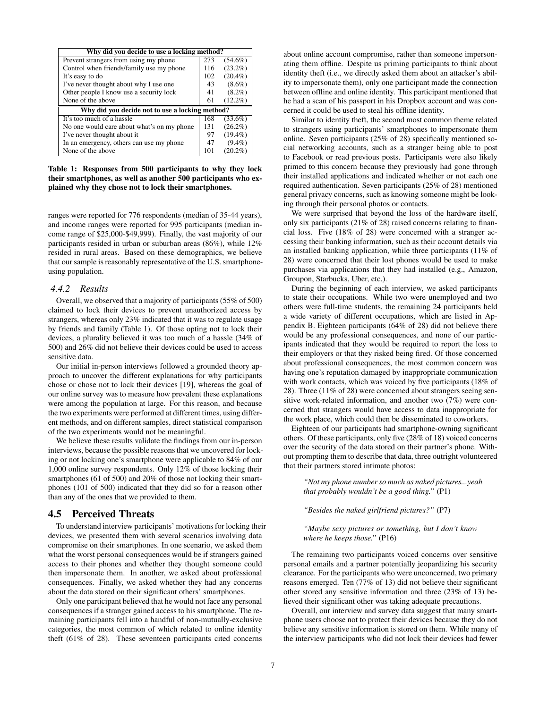| Why did you decide to use a locking method?     |     |            |  |
|-------------------------------------------------|-----|------------|--|
| Prevent strangers from using my phone           | 273 | $(54.6\%)$ |  |
| Control when friends/family use my phone        | 116 | $(23.2\%)$ |  |
| It's easy to do                                 | 102 | $(20.4\%)$ |  |
| I've never thought about why I use one          | 43  | $(8.6\%)$  |  |
| Other people I know use a security lock         | 41  | $(8.2\%)$  |  |
| None of the above                               | 61  | $(12.2\%)$ |  |
| Why did you decide not to use a locking method? |     |            |  |
| It's too much of a hassle                       | 168 | $(33.6\%)$ |  |
| No one would care about what's on my phone      | 131 | $(26.2\%)$ |  |
| I've never thought about it                     | 97  | $(19.4\%)$ |  |
| In an emergency, others can use my phone        | 47  | $(9.4\%)$  |  |
| None of the above                               | 101 | $(20.2\%)$ |  |

<span id="page-6-0"></span>Table 1: Responses from 500 participants to why they lock their smartphones, as well as another 500 participants who explained why they chose not to lock their smartphones.

ranges were reported for 776 respondents (median of 35-44 years), and income ranges were reported for 995 participants (median income range of \$25,000-\$49,999). Finally, the vast majority of our participants resided in urban or suburban areas (86%), while 12% resided in rural areas. Based on these demographics, we believe that our sample is reasonably representative of the U.S. smartphoneusing population.

#### *4.4.2 Results*

Overall, we observed that a majority of participants (55% of 500) claimed to lock their devices to prevent unauthorized access by strangers, whereas only 23% indicated that it was to regulate usage by friends and family (Table [1\)](#page-6-0). Of those opting not to lock their devices, a plurality believed it was too much of a hassle (34% of 500) and 26% did not believe their devices could be used to access sensitive data.

Our initial in-person interviews followed a grounded theory approach to uncover the different explanations for why participants chose or chose not to lock their devices [\[19\]](#page-10-23), whereas the goal of our online survey was to measure how prevalent these explanations were among the population at large. For this reason, and because the two experiments were performed at different times, using different methods, and on different samples, direct statistical comparison of the two experiments would not be meaningful.

We believe these results validate the findings from our in-person interviews, because the possible reasons that we uncovered for locking or not locking one's smartphone were applicable to 84% of our 1,000 online survey respondents. Only 12% of those locking their smartphones (61 of 500) and 20% of those not locking their smartphones (101 of 500) indicated that they did so for a reason other than any of the ones that we provided to them.

## 4.5 Perceived Threats

To understand interview participants' motivations for locking their devices, we presented them with several scenarios involving data compromise on their smartphones. In one scenario, we asked them what the worst personal consequences would be if strangers gained access to their phones and whether they thought someone could then impersonate them. In another, we asked about professional consequences. Finally, we asked whether they had any concerns about the data stored on their significant others' smartphones.

Only one participant believed that he would not face any personal consequences if a stranger gained access to his smartphone. The remaining participants fell into a handful of non-mutually-exclusive categories, the most common of which related to online identity theft (61% of 28). These seventeen participants cited concerns about online account compromise, rather than someone impersonating them offline. Despite us priming participants to think about identity theft (i.e., we directly asked them about an attacker's ability to impersonate them), only one participant made the connection between offline and online identity. This participant mentioned that he had a scan of his passport in his Dropbox account and was concerned it could be used to steal his offline identity.

Similar to identity theft, the second most common theme related to strangers using participants' smartphones to impersonate them online. Seven participants (25% of 28) specifically mentioned social networking accounts, such as a stranger being able to post to Facebook or read previous posts. Participants were also likely primed to this concern because they previously had gone through their installed applications and indicated whether or not each one required authentication. Seven participants (25% of 28) mentioned general privacy concerns, such as knowing someone might be looking through their personal photos or contacts.

We were surprised that beyond the loss of the hardware itself, only six participants (21% of 28) raised concerns relating to financial loss. Five (18% of 28) were concerned with a stranger accessing their banking information, such as their account details via an installed banking application, while three participants (11% of 28) were concerned that their lost phones would be used to make purchases via applications that they had installed (e.g., Amazon, Groupon, Starbucks, Uber, etc.).

During the beginning of each interview, we asked participants to state their occupations. While two were unemployed and two others were full-time students, the remaining 24 participants held a wide variety of different occupations, which are listed in Appendix [B.](#page-11-11) Eighteen participants (64% of 28) did not believe there would be any professional consequences, and none of our participants indicated that they would be required to report the loss to their employers or that they risked being fired. Of those concerned about professional consequences, the most common concern was having one's reputation damaged by inappropriate communication with work contacts, which was voiced by five participants (18% of 28). Three (11% of 28) were concerned about strangers seeing sensitive work-related information, and another two (7%) were concerned that strangers would have access to data inappropriate for the work place, which could then be disseminated to coworkers.

Eighteen of our participants had smartphone-owning significant others. Of these participants, only five (28% of 18) voiced concerns over the security of the data stored on their partner's phone. Without prompting them to describe that data, three outright volunteered that their partners stored intimate photos:

*"Not my phone number so much as naked pictures...yeah that probably wouldn't be a good thing."* (P1)

*"Besides the naked girlfriend pictures?"* (P7)

*"Maybe sexy pictures or something, but I don't know where he keeps those."* (P16)

The remaining two participants voiced concerns over sensitive personal emails and a partner potentially jeopardizing his security clearance. For the participants who were unconcerned, two primary reasons emerged. Ten (77% of 13) did not believe their significant other stored any sensitive information and three (23% of 13) believed their significant other was taking adequate precautions.

Overall, our interview and survey data suggest that many smartphone users choose not to protect their devices because they do not believe any sensitive information is stored on them. While many of the interview participants who did not lock their devices had fewer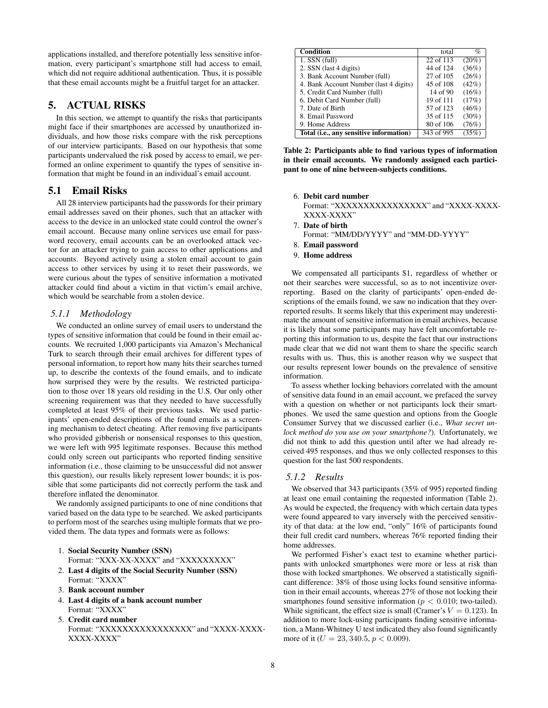applications installed, and therefore potentially less sensitive information, every participant's smartphone still had access to email, which did not require additional authentication. Thus, it is possible that these email accounts might be a fruitful target for an attacker.

# <span id="page-7-1"></span>5. ACTUAL RISKS

In this section, we attempt to quantify the risks that participants might face if their smartphones are accessed by unauthorized individuals, and how those risks compare with the risk perceptions of our interview participants. Based on our hypothesis that some participants undervalued the risk posed by access to email, we performed an online experiment to quantify the types of sensitive information that might be found in an individual's email account.

# 5.1 Email Risks

All 28 interview participants had the passwords for their primary email addresses saved on their phones, such that an attacker with access to the device in an unlocked state could control the owner's email account. Because many online services use email for password recovery, email accounts can be an overlooked attack vector for an attacker trying to gain access to other applications and accounts. Beyond actively using a stolen email account to gain access to other services by using it to reset their passwords, we were curious about the types of sensitive information a motivated attacker could find about a victim in that victim's email archive, which would be searchable from a stolen device.

#### *5.1.1 Methodology*

We conducted an online survey of email users to understand the types of sensitive information that could be found in their email accounts. We recruited 1,000 participants via Amazon's Mechanical Turk to search through their email archives for different types of personal information, to report how many hits their searches turned up, to describe the contexts of the found emails, and to indicate how surprised they were by the results. We restricted participation to those over 18 years old residing in the U.S. Our only other screening requirement was that they needed to have successfully completed at least 95% of their previous tasks. We used participants' open-ended descriptions of the found emails as a screening mechanism to detect cheating. After removing five participants who provided gibberish or nonsensical responses to this question, we were left with 995 legitimate responses. Because this method could only screen out participants who reported finding sensitive information (i.e., those claiming to be unsuccessful did not answer this question), our results likely represent lower bounds; it is possible that some participants did not correctly perform the task and therefore inflated the denominator.

We randomly assigned participants to one of nine conditions that varied based on the data type to be searched. We asked participants to perform most of the searches using multiple formats that we provided them. The data types and formats were as follows:

- 1. Social Security Number (SSN) Format: "XXX-XX-XXXX" and "XXXXXXXXX"
- 2. Last 4 digits of the Social Security Number (SSN) Format: "XXXX"
- 3. Bank account number
- 4. Last 4 digits of a bank account number Format: "XXXX"
- 5. Credit card number Format: "XXXXXXXXXXXXXXXXX" and "XXXX-XXXX-XXXX-XXXX"

| <b>Condition</b>                        | total      | %     |
|-----------------------------------------|------------|-------|
| 1. SSN (full)                           | 22 of 113  | (20%) |
| 2. SSN (last 4 digits)                  | 44 of 124  | (36%) |
| 3. Bank Account Number (full)           | 27 of 105  | (26%) |
| 4. Bank Account Number (last 4 digits)  | 45 of 108  | (42%) |
| 5. Credit Card Number (full)            | 14 of 90   | (16%) |
| 6. Debit Card Number (full)             | 19 of 111  | (17%) |
| 7. Date of Birth                        | 57 of 123  | (46%) |
| 8. Email Password                       | 35 of 115  | (30%) |
| 9. Home Address                         | 80 of 106  | (76%) |
| Total (i.e., any sensitive information) | 343 of 995 | (35%  |

<span id="page-7-0"></span>Table 2: Participants able to find various types of information in their email accounts. We randomly assigned each participant to one of nine between-subjects conditions.

#### 6. Debit card number

Format: "XXXXXXXXXXXXXXXXXX" and "XXXX-XXXX-XXXX-XXXX"

- 7. Date of birth
- Format: "MM/DD/YYYY" and "MM-DD-YYYY"
- 8. Email password
- 9. Home address

We compensated all participants \$1, regardless of whether or not their searches were successful, so as to not incentivize overreporting. Based on the clarity of participants' open-ended descriptions of the emails found, we saw no indication that they overreported results. It seems likely that this experiment may underestimate the amount of sensitive information in email archives, because it is likely that some participants may have felt uncomfortable reporting this information to us, despite the fact that our instructions made clear that we did not want them to share the specific search results with us. Thus, this is another reason why we suspect that our results represent lower bounds on the prevalence of sensitive information.

To assess whether locking behaviors correlated with the amount of sensitive data found in an email account, we prefaced the survey with a question on whether or not participants lock their smartphones. We used the same question and options from the Google Consumer Survey that we discussed earlier (i.e., *What secret unlock method do you use on your smartphone?*). Unfortunately, we did not think to add this question until after we had already received 495 responses, and thus we only collected responses to this question for the last 500 respondents.

# *5.1.2 Results*

We observed that 343 participants (35% of 995) reported finding at least one email containing the requested information (Table [2\)](#page-7-0). As would be expected, the frequency with which certain data types were found appeared to vary inversely with the perceived sensitivity of that data: at the low end, "only" 16% of participants found their full credit card numbers, whereas 76% reported finding their home addresses.

We performed Fisher's exact test to examine whether participants with unlocked smartphones were more or less at risk than those with locked smartphones. We observed a statistically significant difference: 38% of those using locks found sensitive information in their email accounts, whereas 27% of those not locking their smartphones found sensitive information ( $p < 0.010$ ; two-tailed). While significant, the effect size is small (Cramer's  $V = 0.123$ ). In addition to more lock-using participants finding sensitive information, a Mann-Whitney U test indicated they also found significantly more of it ( $U = 23, 340.5, p < 0.009$ ).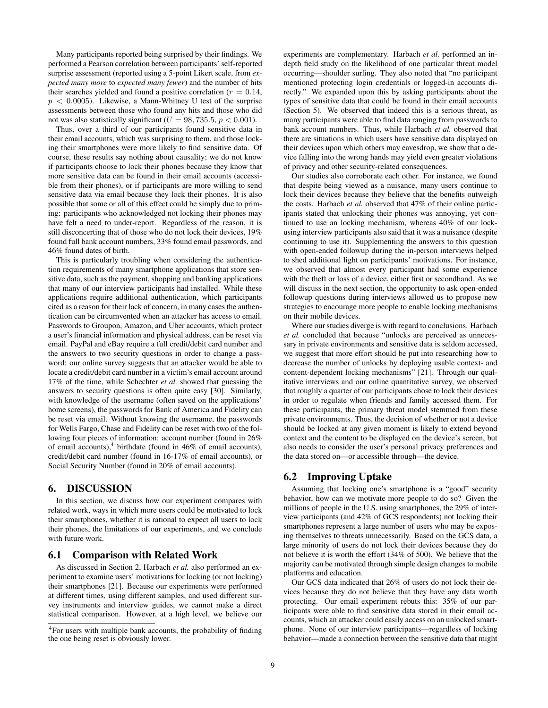Many participants reported being surprised by their findings. We performed a Pearson correlation between participants' self-reported surprise assessment (reported using a 5-point Likert scale, from *expected many more* to *expected many fewer*) and the number of hits their searches yielded and found a positive correlation ( $r = 0.14$ ,  $p < 0.0005$ ). Likewise, a Mann-Whitney U test of the surprise assessments between those who found any hits and those who did not was also statistically significant ( $U = 98, 735.5, p < 0.001$ ).

Thus, over a third of our participants found sensitive data in their email accounts, which was surprising to them, and those locking their smartphones were more likely to find sensitive data. Of course, these results say nothing about causality; we do not know if participants choose to lock their phones because they know that more sensitive data can be found in their email accounts (accessible from their phones), or if participants are more willing to send sensitive data via email because they lock their phones. It is also possible that some or all of this effect could be simply due to priming: participants who acknowledged not locking their phones may have felt a need to under-report. Regardless of the reason, it is still disconcerting that of those who do not lock their devices, 19% found full bank account numbers, 33% found email passwords, and 46% found dates of birth.

This is particularly troubling when considering the authentication requirements of many smartphone applications that store sensitive data, such as the payment, shopping and banking applications that many of our interview participants had installed. While these applications require additional authentication, which participants cited as a reason for their lack of concern, in many cases the authentication can be circumvented when an attacker has access to email. Passwords to Groupon, Amazon, and Uber accounts, which protect a user's financial information and physical address, can be reset via email. PayPal and eBay require a full credit/debit card number and the answers to two security questions in order to change a password: our online survey suggests that an attacker would be able to locate a credit/debit card number in a victim's email account around 17% of the time, while Schechter *et al.* showed that guessing the answers to security questions is often quite easy [\[30\]](#page-11-12). Similarly, with knowledge of the username (often saved on the applications' home screens), the passwords for Bank of America and Fidelity can be reset via email. Without knowing the username, the passwords for Wells Fargo, Chase and Fidelity can be reset with two of the following four pieces of information: account number (found in 26% of email accounts),<sup>[4](#page-8-0)</sup> birthdate (found in  $46\%$  of email accounts), credit/debit card number (found in 16-17% of email accounts), or Social Security Number (found in 20% of email accounts).

# 6. DISCUSSION

In this section, we discuss how our experiment compares with related work, ways in which more users could be motivated to lock their smartphones, whether it is rational to expect all users to lock their phones, the limitations of our experiments, and we conclude with future work.

# 6.1 Comparison with Related Work

As discussed in Section [2,](#page-1-0) Harbach *et al.* also performed an experiment to examine users' motivations for locking (or not locking) their smartphones [\[21\]](#page-10-9). Because our experiments were performed at different times, using different samples, and used different survey instruments and interview guides, we cannot make a direct statistical comparison. However, at a high level, we believe our

experiments are complementary. Harbach *et al.* performed an indepth field study on the likelihood of one particular threat model occurring—shoulder surfing. They also noted that "no participant mentioned protecting login credentials or logged-in accounts directly." We expanded upon this by asking participants about the types of sensitive data that could be found in their email accounts (Section [5\)](#page-7-1). We observed that indeed this is a serious threat, as many participants were able to find data ranging from passwords to bank account numbers. Thus, while Harbach *et al.* observed that there are situations in which users have sensitive data displayed on their devices upon which others may eavesdrop, we show that a device falling into the wrong hands may yield even greater violations of privacy and other security-related consequences.

Our studies also corroborate each other. For instance, we found that despite being viewed as a nuisance, many users continue to lock their devices because they believe that the benefits outweigh the costs. Harbach *et al.* observed that 47% of their online participants stated that unlocking their phones was annoying, yet continued to use an locking mechanism, whereas 40% of our lockusing interview participants also said that it was a nuisance (despite continuing to use it). Supplementing the answers to this question with open-ended followup during the in-person interviews helped to shed additional light on participants' motivations. For instance, we observed that almost every participant had some experience with the theft or loss of a device, either first or secondhand. As we will discuss in the next section, the opportunity to ask open-ended followup questions during interviews allowed us to propose new strategies to encourage more people to enable locking mechanisms on their mobile devices.

Where our studies diverge is with regard to conclusions. Harbach *et al.* concluded that because "unlocks are perceived as unnecessary in private environments and sensitive data is seldom accessed, we suggest that more effort should be put into researching how to decrease the number of unlocks by deploying usable context- and content-dependent locking mechanisms" [\[21\]](#page-10-9). Through our qualitative interviews and our online quantitative survey, we observed that roughly a quarter of our participants chose to lock their devices in order to regulate when friends and family accessed them. For these participants, the primary threat model stemmed from these private environments. Thus, the decision of whether or not a device should be locked at any given moment is likely to extend beyond context and the content to be displayed on the device's screen, but also needs to consider the user's personal privacy preferences and the data stored on—or accessible through—the device.

# 6.2 Improving Uptake

Assuming that locking one's smartphone is a "good" security behavior, how can we motivate more people to do so? Given the millions of people in the U.S. using smartphones, the 29% of interview participants (and 42% of GCS respondents) not locking their smartphones represent a large number of users who may be exposing themselves to threats unnecessarily. Based on the GCS data, a large minority of users do not lock their devices because they do not believe it is worth the effort (34% of 500). We believe that the majority can be motivated through simple design changes to mobile platforms and education.

Our GCS data indicated that 26% of users do not lock their devices because they do not believe that they have any data worth protecting. Our email experiment rebuts this: 35% of our participants were able to find sensitive data stored in their email accounts, which an attacker could easily access on an unlocked smartphone. None of our interview participants—regardless of locking behavior—made a connection between the sensitive data that might

<span id="page-8-0"></span><sup>&</sup>lt;sup>4</sup>For users with multiple bank accounts, the probability of finding the one being reset is obviously lower.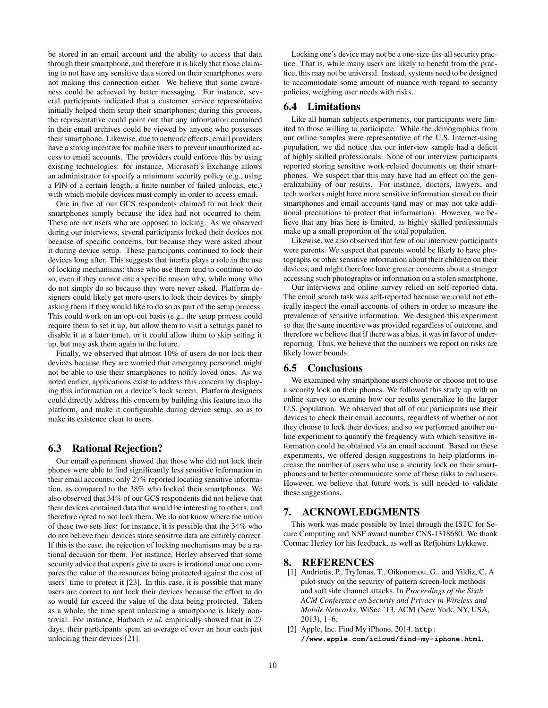be stored in an email account and the ability to access that data through their smartphone, and therefore it is likely that those claiming to not have any sensitive data stored on their smartphones were not making this connection either. We believe that some awareness could be achieved by better messaging. For instance, several participants indicated that a customer service representative initially helped them setup their smartphones; during this process, the representative could point out that any information contained in their email archives could be viewed by anyone who possesses their smartphone. Likewise, due to network effects, email providers have a strong incentive for mobile users to prevent unauthorized access to email accounts. The providers could enforce this by using existing technologies: for instance, Microsoft's Exchange allows an administrator to specify a minimum security policy (e.g., using a PIN of a certain length, a finite number of failed unlocks, etc.) with which mobile devices must comply in order to access email.

One in five of our GCS respondents claimed to not lock their smartphones simply because the idea had not occurred to them. These are not users who are opposed to locking. As we observed during our interviews, several participants locked their devices not because of specific concerns, but because they were asked about it during device setup. These participants continued to lock their devices long after. This suggests that inertia plays a role in the use of locking mechanisms: those who use them tend to continue to do so, even if they cannot cite a specific reason why, while many who do not simply do so because they were never asked. Platform designers could likely get more users to lock their devices by simply asking them if they would like to do so as part of the setup process. This could work on an opt-out basis (e.g., the setup process could require them to set it up, but allow them to visit a settings panel to disable it at a later time), or it could allow them to skip setting it up, but may ask them again in the future.

Finally, we observed that almost 10% of users do not lock their devices because they are worried that emergency personnel might not be able to use their smartphones to notify loved ones. As we noted earlier, applications exist to address this concern by displaying this information on a device's lock screen. Platform designers could directly address this concern by building this feature into the platform, and make it configurable during device setup, so as to make its existence clear to users.

## 6.3 Rational Rejection?

Our email experiment showed that those who did not lock their phones were able to find significantly less sensitive information in their email accounts; only 27% reported locating sensitive information, as compared to the 38% who locked their smartphones. We also observed that 34% of our GCS respondents did not believe that their devices contained data that would be interesting to others, and therefore opted to not lock them. We do not know where the union of these two sets lies: for instance, it is possible that the 34% who do not believe their devices store sensitive data are entirely correct. If this is the case, the rejection of locking mechanisms may be a rational decision for them. For instance, Herley observed that some security advice that experts give to users is irrational once one compares the value of the resources being protected against the cost of users' time to protect it [\[23\]](#page-10-26). In this case, it is possible that many users are correct to not lock their devices because the effort to do so would far exceed the value of the data being protected. Taken as a whole, the time spent unlocking a smartphone is likely nontrivial. For instance, Harbach *et al.* empirically showed that in 27 days, their participants spent an average of over an hour each just unlocking their devices [\[21\]](#page-10-9).

Locking one's device may not be a one-size-fits-all security practice. That is, while many users are likely to benefit from the practice, this may not be universal. Instead, systems need to be designed to accommodate some amount of nuance with regard to security policies, weighing user needs with risks.

# 6.4 Limitations

Like all human subjects experiments, our participants were limited to those willing to participate. While the demographics from our online samples were representative of the U.S. Internet-using population, we did notice that our interview sample had a deficit of highly skilled professionals. None of our interview participants reported storing sensitive work-related documents on their smartphones. We suspect that this may have had an effect on the generalizability of our results. For instance, doctors, lawyers, and tech workers might have more sensitive information stored on their smartphones and email accounts (and may or may not take additional precautions to protect that information). However, we believe that any bias here is limited, as highly skilled professionals make up a small proportion of the total population.

Likewise, we also observed that few of our interview participants were parents. We suspect that parents would be likely to have photographs or other sensitive information about their children on their devices, and might therefore have greater concerns about a stranger accessing such photographs or information on a stolen smartphone.

Our interviews and online survey relied on self-reported data. The email search task was self-reported because we could not ethically inspect the email accounts of others in order to measure the prevalence of sensitive information. We designed this experiment so that the same incentive was provided regardless of outcome, and therefore we believe that if there was a bias, it was in favor of underreporting. Thus, we believe that the numbers we report on risks are likely lower bounds.

# 6.5 Conclusions

We examined why smartphone users choose or choose not to use a security lock on their phones. We followed this study up with an online survey to examine how our results generalize to the larger U.S. population. We observed that all of our participants use their devices to check their email accounts, regardless of whether or not they choose to lock their devices, and so we performed another online experiment to quantify the frequency with which sensitive information could be obtained via an email account. Based on these experiments, we offered design suggestions to help platforms increase the number of users who use a security lock on their smartphones and to better communicate some of these risks to end users. However, we believe that future work is still needed to validate these suggestions.

# 7. ACKNOWLEDGMENTS

This work was made possible by Intel through the ISTC for Secure Computing and NSF award number CNS-1318680. We thank Cormac Herley for his feedback, as well as Refjohürs Lykkewe.

### 8. REFERENCES

- <span id="page-9-0"></span>[1] Andriotis, P., Tryfonas, T., Oikonomou, G., and Yildiz, C. A pilot study on the security of pattern screen-lock methods and soft side channel attacks. In *Proceedings of the Sixth ACM Conference on Security and Privacy in Wireless and Mobile Networks*, WiSec '13, ACM (New York, NY, USA, 2013), 1–6.
- <span id="page-9-1"></span>[2] Apple, Inc. Find My iPhone, 2014. **[http:](http://www.apple.com/icloud/find-my-iphone.html) [//www.apple.com/icloud/find-my-iphone.html](http://www.apple.com/icloud/find-my-iphone.html)**.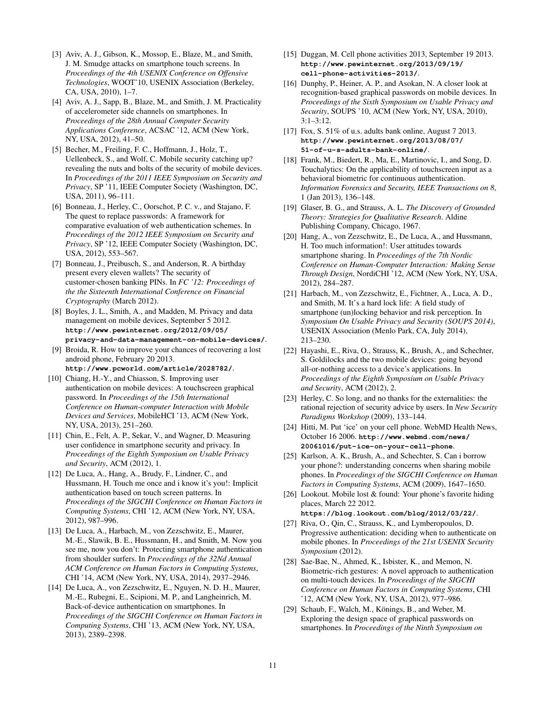- <span id="page-10-7"></span>[3] Aviv, A. J., Gibson, K., Mossop, E., Blaze, M., and Smith, J. M. Smudge attacks on smartphone touch screens. In *Proceedings of the 4th USENIX Conference on Offensive Technologies*, WOOT'10, USENIX Association (Berkeley, CA, USA, 2010), 1–7.
- <span id="page-10-8"></span>[4] Aviv, A. J., Sapp, B., Blaze, M., and Smith, J. M. Practicality of accelerometer side channels on smartphones. In *Proceedings of the 28th Annual Computer Security Applications Conference*, ACSAC '12, ACM (New York, NY, USA, 2012), 41–50.
- <span id="page-10-20"></span>[5] Becher, M., Freiling, F. C., Hoffmann, J., Holz, T., Uellenbeck, S., and Wolf, C. Mobile security catching up? revealing the nuts and bolts of the security of mobile devices. In *Proceedings of the 2011 IEEE Symposium on Security and Privacy*, SP '11, IEEE Computer Society (Washington, DC, USA, 2011), 96–111.
- <span id="page-10-12"></span>[6] Bonneau, J., Herley, C., Oorschot, P. C. v., and Stajano, F. The quest to replace passwords: A framework for comparative evaluation of web authentication schemes. In *Proceedings of the 2012 IEEE Symposium on Security and Privacy*, SP '12, IEEE Computer Society (Washington, DC, USA, 2012), 553–567.
- <span id="page-10-4"></span>[7] Bonneau, J., Preibusch, S., and Anderson, R. A birthday present every eleven wallets? The security of customer-chosen banking PINs. In *FC '12: Proceedings of the the Sixteenth International Conference on Financial Cryptography* (March 2012).
- <span id="page-10-2"></span>[8] Boyles, J. L., Smith, A., and Madden, M. Privacy and data management on mobile devices, September 5 2012. **[http://www.pewinternet.org/2012/09/05/](http://www.pewinternet.org/2012/09/05/privacy-and-data-management-on-mobile-devices/) [privacy-and-data-management-on-mobile-devices/](http://www.pewinternet.org/2012/09/05/privacy-and-data-management-on-mobile-devices/)**.
- <span id="page-10-24"></span>[9] Broida, R. How to improve your chances of recovering a lost android phone, February 20 2013.
	- **<http://www.pcworld.com/article/2028782/>**.
- <span id="page-10-13"></span>[10] Chiang, H.-Y., and Chiasson, S. Improving user authentication on mobile devices: A touchscreen graphical password. In *Proceedings of the 15th International Conference on Human-computer Interaction with Mobile Devices and Services*, MobileHCI '13, ACM (New York, NY, USA, 2013), 251–260.
- <span id="page-10-19"></span>[11] Chin, E., Felt, A. P., Sekar, V., and Wagner, D. Measuring user confidence in smartphone security and privacy. In *Proceedings of the Eighth Symposium on Usable Privacy and Security*, ACM (2012), 1.
- <span id="page-10-17"></span>[12] De Luca, A., Hang, A., Brudy, F., Lindner, C., and Hussmann, H. Touch me once and i know it's you!: Implicit authentication based on touch screen patterns. In *Proceedings of the SIGCHI Conference on Human Factors in Computing Systems*, CHI '12, ACM (New York, NY, USA, 2012), 987–996.
- <span id="page-10-6"></span>[13] De Luca, A., Harbach, M., von Zezschwitz, E., Maurer, M.-E., Slawik, B. E., Hussmann, H., and Smith, M. Now you see me, now you don't: Protecting smartphone authentication from shoulder surfers. In *Proceedings of the 32Nd Annual ACM Conference on Human Factors in Computing Systems*, CHI '14, ACM (New York, NY, USA, 2014), 2937–2946.
- <span id="page-10-5"></span>[14] De Luca, A., von Zezschwitz, E., Nguyen, N. D. H., Maurer, M.-E., Rubegni, E., Scipioni, M. P., and Langheinrich, M. Back-of-device authentication on smartphones. In *Proceedings of the SIGCHI Conference on Human Factors in Computing Systems*, CHI '13, ACM (New York, NY, USA, 2013), 2389–2398.
- <span id="page-10-0"></span>[15] Duggan, M. Cell phone activities 2013, September 19 2013. **[http://www.pewinternet.org/2013/09/19/](http://www.pewinternet.org/2013/09/19/cell-phone-activities-2013/) [cell-phone-activities-2013/](http://www.pewinternet.org/2013/09/19/cell-phone-activities-2013/)**.
- <span id="page-10-15"></span>[16] Dunphy, P., Heiner, A. P., and Asokan, N. A closer look at recognition-based graphical passwords on mobile devices. In *Proceedings of the Sixth Symposium on Usable Privacy and Security*, SOUPS '10, ACM (New York, NY, USA, 2010), 3:1–3:12.
- <span id="page-10-1"></span>[17] Fox, S. 51% of u.s. adults bank online, August 7 2013. **[http://www.pewinternet.org/2013/08/07/](http://www.pewinternet.org/2013/08/07/51-of-u-s-adults-bank-online/) [51-of-u-s-adults-bank-online/](http://www.pewinternet.org/2013/08/07/51-of-u-s-adults-bank-online/)**.
- <span id="page-10-18"></span>[18] Frank, M., Biedert, R., Ma, E., Martinovic, I., and Song, D. Touchalytics: On the applicability of touchscreen input as a behavioral biometric for continuous authentication. *Information Forensics and Security, IEEE Transactions on 8*, 1 (Jan 2013), 136–148.
- <span id="page-10-23"></span>[19] Glaser, B. G., and Strauss, A. L. *The Discovery of Grounded Theory: Strategies for Qualitative Research*. Aldine Publishing Company, Chicago, 1967.
- <span id="page-10-21"></span>[20] Hang, A., von Zezschwitz, E., De Luca, A., and Hussmann, H. Too much information!: User attitudes towards smartphone sharing. In *Proceedings of the 7th Nordic Conference on Human-Computer Interaction: Making Sense Through Design*, NordiCHI '12, ACM (New York, NY, USA, 2012), 284–287.
- <span id="page-10-9"></span>[21] Harbach, M., von Zezschwitz, E., Fichtner, A., Luca, A. D., and Smith, M. It's a hard lock life: A field study of smartphone (un)locking behavior and risk perception. In *Symposium On Usable Privacy and Security (SOUPS 2014)*, USENIX Association (Menlo Park, CA, July 2014), 213–230.
- <span id="page-10-10"></span>[22] Hayashi, E., Riva, O., Strauss, K., Brush, A., and Schechter, S. Goldilocks and the two mobile devices: going beyond all-or-nothing access to a device's applications. In *Proceedings of the Eighth Symposium on Usable Privacy and Security*, ACM (2012), 2.
- <span id="page-10-26"></span>[23] Herley, C. So long, and no thanks for the externalities: the rational rejection of security advice by users. In *New Security Paradigms Workshop* (2009), 133–144.
- <span id="page-10-25"></span>[24] Hitti, M. Put 'ice' on your cell phone. WebMD Health News, October 16 2006. **[http://www.webmd.com/news/](http://www.webmd.com/news/20061016/put-ice-on-your-cell-phone) [20061016/put-ice-on-your-cell-phone](http://www.webmd.com/news/20061016/put-ice-on-your-cell-phone)**.
- <span id="page-10-22"></span>[25] Karlson, A. K., Brush, A., and Schechter, S. Can i borrow your phone?: understanding concerns when sharing mobile phones. In *Proceedings of the SIGCHI Conference on Human Factors in Computing Systems*, ACM (2009), 1647–1650.
- <span id="page-10-3"></span>[26] Lookout. Mobile lost & found: Your phone's favorite hiding places, March 22 2012. **<https://blog.lookout.com/blog/2012/03/22/>**.
- <span id="page-10-11"></span>[27] Riva, O., Oin, C., Strauss, K., and Lymberopoulos, D. Progressive authentication: deciding when to authenticate on mobile phones. In *Proceedings of the 21st USENIX Security Symposium* (2012).
- <span id="page-10-16"></span>[28] Sae-Bae, N., Ahmed, K., Isbister, K., and Memon, N. Biometric-rich gestures: A novel approach to authentication on multi-touch devices. In *Proceedings of the SIGCHI Conference on Human Factors in Computing Systems*, CHI '12, ACM (New York, NY, USA, 2012), 977–986.
- <span id="page-10-14"></span>[29] Schaub, F., Walch, M., Könings, B., and Weber, M. Exploring the design space of graphical passwords on smartphones. In *Proceedings of the Ninth Symposium on*